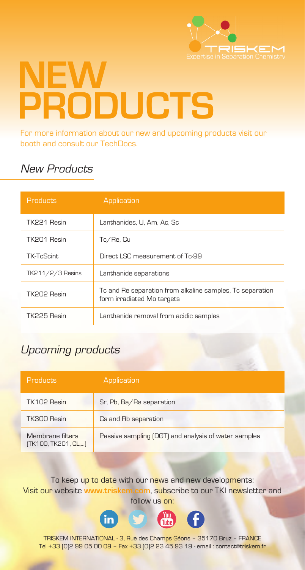

# **NEW PRODUCTS**

For more information about our new and upcoming products visit our booth and consult our TechDocs.

# New Products

| Products           | Application                                                                             |
|--------------------|-----------------------------------------------------------------------------------------|
| TK221 Resin        | Lanthanides, U, Am, Ac, Sc                                                              |
| TK201 Resin        | Tc/Re, Cu                                                                               |
| <b>TK-TcScint</b>  | Direct LSC measurement of Tc-99                                                         |
| $TK211/2/3$ Resins | Lanthanide separations                                                                  |
| TK202 Resin        | To and Re separation from alkaline samples, To separation<br>form irradiated Mo targets |
| TK225 Resin        | Lanthanide removal from acidic samples                                                  |

## Upcoming products

| Products                                | Application                                          |
|-----------------------------------------|------------------------------------------------------|
| TK102 Resin                             | Sr, Pb, Ba/Ra separation                             |
| TK300 Resin                             | Cs and Rb separation                                 |
| Membrane filters<br>(TK100, TK201, CL,) | Passive sampling (DGT) and analysis of water samples |

To keep up to date with our news and new developments: Visit our website **www.triskem.com**, subscribe to our TKI newsletter and follow us on:



TRISKEM INTERNATIONAL - 3, Rue des Champs Géons – 35170 Bruz – FRANCE Tel +33 (0)2 99 05 00 09 – Fax +33 (0)2 23 45 93 19 - email : contact@triskem.fr